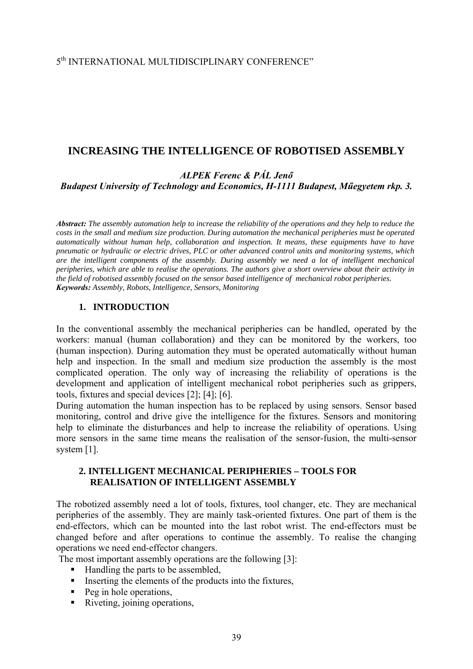## 5th INTERNATIONAL MULTIDISCIPLINARY CONFERENCE"

## **INCREASING THE INTELLIGENCE OF ROBOTISED ASSEMBLY**

*ALPEK Ferenc & PÁL Jenő*

*Budapest University of Technology and Economics, H-1111 Budapest, Műegyetem rkp. 3.* 

*Abstract: The assembly automation help to increase the reliability of the operations and they help to reduce the costs in the small and medium size production. During automation the mechanical peripheries must be operated automatically without human help, collaboration and inspection. It means, these equipments have to have pneumatic or hydraulic or electric drives, PLC or other advanced control units and monitoring systems, which are the intelligent components of the assembly. During assembly we need a lot of intelligent mechanical peripheries, which are able to realise the operations. The authors give a short overview about their activity in the field of robotised assembly focused on the sensor based intelligence of mechanical robot peripheries. Keywords: Assembly, Robots, Intelligence, Sensors, Monitoring* 

#### **1. INTRODUCTION**

In the conventional assembly the mechanical peripheries can be handled, operated by the workers: manual (human collaboration) and they can be monitored by the workers, too (human inspection). During automation they must be operated automatically without human help and inspection. In the small and medium size production the assembly is the most complicated operation. The only way of increasing the reliability of operations is the development and application of intelligent mechanical robot peripheries such as grippers, tools, fixtures and special devices [2]; [4]; [6].

During automation the human inspection has to be replaced by using sensors. Sensor based monitoring, control and drive give the intelligence for the fixtures. Sensors and monitoring help to eliminate the disturbances and help to increase the reliability of operations. Using more sensors in the same time means the realisation of the sensor-fusion, the multi-sensor system [1].

#### **2. INTELLIGENT MECHANICAL PERIPHERIES – TOOLS FOR REALISATION OF INTELLIGENT ASSEMBLY**

The robotized assembly need a lot of tools, fixtures, tool changer, etc. They are mechanical peripheries of the assembly. They are mainly task-oriented fixtures. One part of them is the end-effectors, which can be mounted into the last robot wrist. The end-effectors must be changed before and after operations to continue the assembly. To realise the changing operations we need end-effector changers.

The most important assembly operations are the following [3]:

- Handling the parts to be assembled,
- $\blacksquare$  Inserting the elements of the products into the fixtures,
- $\blacksquare$  Peg in hole operations,
- Riveting, joining operations,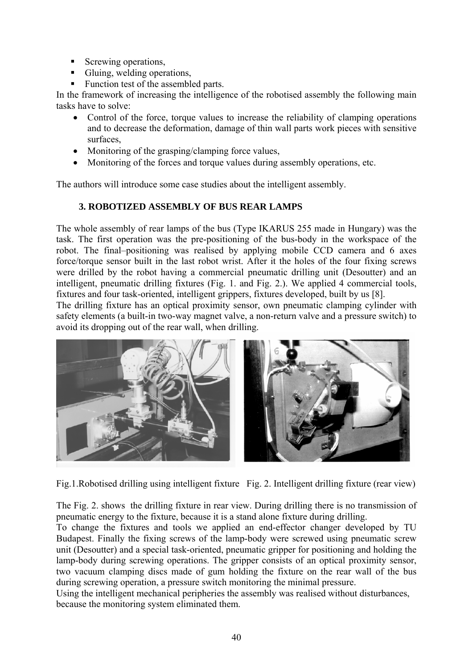- Screwing operations,
- Gluing, welding operations,
- Function test of the assembled parts.

In the framework of increasing the intelligence of the robotised assembly the following main tasks have to solve:

- Control of the force, torque values to increase the reliability of clamping operations and to decrease the deformation, damage of thin wall parts work pieces with sensitive surfaces,
- Monitoring of the grasping/clamping force values,
- Monitoring of the forces and torque values during assembly operations, etc.

The authors will introduce some case studies about the intelligent assembly.

# **3. ROBOTIZED ASSEMBLY OF BUS REAR LAMPS**

The whole assembly of rear lamps of the bus (Type IKARUS 255 made in Hungary) was the task. The first operation was the pre-positioning of the bus-body in the workspace of the robot. The final–positioning was realised by applying mobile CCD camera and 6 axes force/torque sensor built in the last robot wrist. After it the holes of the four fixing screws were drilled by the robot having a commercial pneumatic drilling unit (Desoutter) and an intelligent, pneumatic drilling fixtures (Fig. 1. and Fig. 2.). We applied 4 commercial tools, fixtures and four task-oriented, intelligent grippers, fixtures developed, built by us [8].

The drilling fixture has an optical proximity sensor, own pneumatic clamping cylinder with safety elements (a built-in two-way magnet valve, a non-return valve and a pressure switch) to avoid its dropping out of the rear wall, when drilling.



Fig.1.Robotised drilling using intelligent fixture Fig. 2. Intelligent drilling fixture (rear view)

The Fig. 2. shows the drilling fixture in rear view. During drilling there is no transmission of pneumatic energy to the fixture, because it is a stand alone fixture during drilling.

To change the fixtures and tools we applied an end-effector changer developed by TU Budapest. Finally the fixing screws of the lamp-body were screwed using pneumatic screw unit (Desoutter) and a special task-oriented, pneumatic gripper for positioning and holding the lamp-body during screwing operations. The gripper consists of an optical proximity sensor, two vacuum clamping discs made of gum holding the fixture on the rear wall of the bus during screwing operation, a pressure switch monitoring the minimal pressure.

Using the intelligent mechanical peripheries the assembly was realised without disturbances, because the monitoring system eliminated them.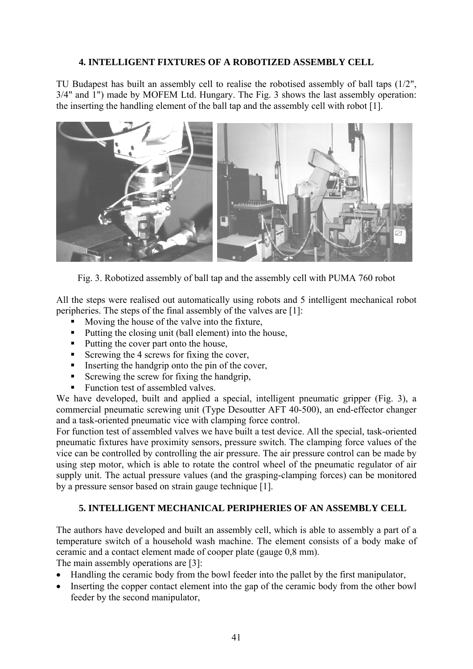### **4. INTELLIGENT FIXTURES OF A ROBOTIZED ASSEMBLY CELL**

TU Budapest has built an assembly cell to realise the robotised assembly of ball taps (1/2", 3/4" and 1") made by MOFEM Ltd. Hungary. The Fig. 3 shows the last assembly operation: the inserting the handling element of the ball tap and the assembly cell with robot [1].



Fig. 3. Robotized assembly of ball tap and the assembly cell with PUMA 760 robot

All the steps were realised out automatically using robots and 5 intelligent mechanical robot peripheries. The steps of the final assembly of the valves are [1]:

- Moving the house of the valve into the fixture,
- Putting the closing unit (ball element) into the house,
- Putting the cover part onto the house,
- Screwing the 4 screws for fixing the cover,
- Inserting the handgrip onto the pin of the cover,
- Screwing the screw for fixing the handgrip,
- Function test of assembled valves.

We have developed, built and applied a special, intelligent pneumatic gripper (Fig. 3), a commercial pneumatic screwing unit (Type Desoutter AFT 40-500), an end-effector changer and a task-oriented pneumatic vice with clamping force control.

For function test of assembled valves we have built a test device. All the special, task-oriented pneumatic fixtures have proximity sensors, pressure switch. The clamping force values of the vice can be controlled by controlling the air pressure. The air pressure control can be made by using step motor, which is able to rotate the control wheel of the pneumatic regulator of air supply unit. The actual pressure values (and the grasping-clamping forces) can be monitored by a pressure sensor based on strain gauge technique [1].

### **5. INTELLIGENT MECHANICAL PERIPHERIES OF AN ASSEMBLY CELL**

The authors have developed and built an assembly cell, which is able to assembly a part of a temperature switch of a household wash machine. The element consists of a body make of ceramic and a contact element made of cooper plate (gauge 0,8 mm).

The main assembly operations are [3]:

- Handling the ceramic body from the bowl feeder into the pallet by the first manipulator,
- Inserting the copper contact element into the gap of the ceramic body from the other bowl feeder by the second manipulator,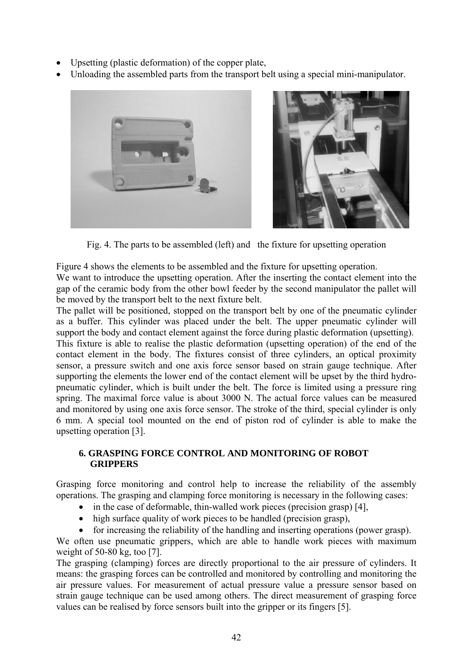- Upsetting (plastic deformation) of the copper plate,
- Unloading the assembled parts from the transport belt using a special mini-manipulator.



Fig. 4. The parts to be assembled (left) and the fixture for upsetting operation

Figure 4 shows the elements to be assembled and the fixture for upsetting operation. We want to introduce the upsetting operation. After the inserting the contact element into the gap of the ceramic body from the other bowl feeder by the second manipulator the pallet will be moved by the transport belt to the next fixture belt.

The pallet will be positioned, stopped on the transport belt by one of the pneumatic cylinder as a buffer. This cylinder was placed under the belt. The upper pneumatic cylinder will support the body and contact element against the force during plastic deformation (upsetting). This fixture is able to realise the plastic deformation (upsetting operation) of the end of the contact element in the body. The fixtures consist of three cylinders, an optical proximity sensor, a pressure switch and one axis force sensor based on strain gauge technique. After supporting the elements the lower end of the contact element will be upset by the third hydropneumatic cylinder, which is built under the belt. The force is limited using a pressure ring spring. The maximal force value is about 3000 N. The actual force values can be measured and monitored by using one axis force sensor. The stroke of the third, special cylinder is only 6 mm. A special tool mounted on the end of piston rod of cylinder is able to make the upsetting operation [3].

### **6. GRASPING FORCE CONTROL AND MONITORING OF ROBOT GRIPPERS**

Grasping force monitoring and control help to increase the reliability of the assembly operations. The grasping and clamping force monitoring is necessary in the following cases:

- in the case of deformable, thin-walled work pieces (precision grasp) [4],
- high surface quality of work pieces to be handled (precision grasp),
- for increasing the reliability of the handling and inserting operations (power grasp).

We often use pneumatic grippers, which are able to handle work pieces with maximum weight of  $50-80$  kg, too [7].

The grasping (clamping) forces are directly proportional to the air pressure of cylinders. It means: the grasping forces can be controlled and monitored by controlling and monitoring the air pressure values. For measurement of actual pressure value a pressure sensor based on strain gauge technique can be used among others. The direct measurement of grasping force values can be realised by force sensors built into the gripper or its fingers [5].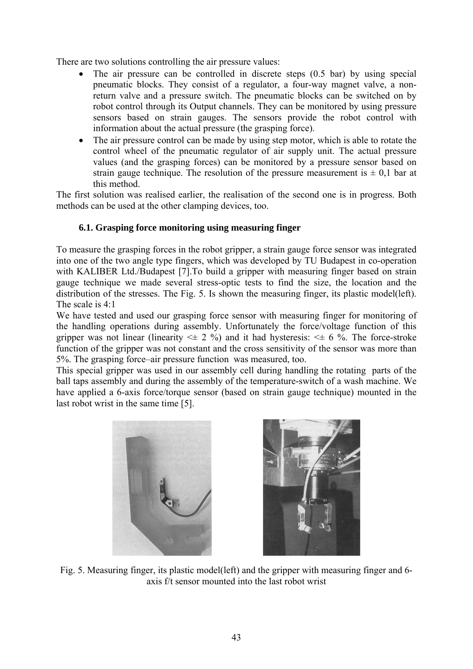There are two solutions controlling the air pressure values:

- The air pressure can be controlled in discrete steps  $(0.5 \text{ bar})$  by using special pneumatic blocks. They consist of a regulator, a four-way magnet valve, a nonreturn valve and a pressure switch. The pneumatic blocks can be switched on by robot control through its Output channels. They can be monitored by using pressure sensors based on strain gauges. The sensors provide the robot control with information about the actual pressure (the grasping force).
- The air pressure control can be made by using step motor, which is able to rotate the control wheel of the pneumatic regulator of air supply unit. The actual pressure values (and the grasping forces) can be monitored by a pressure sensor based on strain gauge technique. The resolution of the pressure measurement is  $\pm$  0,1 bar at this method.

The first solution was realised earlier, the realisation of the second one is in progress. Both methods can be used at the other clamping devices, too.

### **6.1. Grasping force monitoring using measuring finger**

To measure the grasping forces in the robot gripper, a strain gauge force sensor was integrated into one of the two angle type fingers, which was developed by TU Budapest in co-operation with KALIBER Ltd./Budapest [7].To build a gripper with measuring finger based on strain gauge technique we made several stress-optic tests to find the size, the location and the distribution of the stresses. The Fig. 5. Is shown the measuring finger, its plastic model(left). The scale is 4:1

We have tested and used our grasping force sensor with measuring finger for monitoring of the handling operations during assembly. Unfortunately the force/voltage function of this gripper was not linear (linearity  $\leq \pm 2$  %) and it had hysteresis:  $\leq \pm 6$  %. The force-stroke function of the gripper was not constant and the cross sensitivity of the sensor was more than 5%. The grasping force–air pressure function was measured, too.

This special gripper was used in our assembly cell during handling the rotating parts of the ball taps assembly and during the assembly of the temperature-switch of a wash machine. We have applied a 6-axis force/torque sensor (based on strain gauge technique) mounted in the last robot wrist in the same time [5].



Fig. 5. Measuring finger, its plastic model(left) and the gripper with measuring finger and 6 axis f/t sensor mounted into the last robot wrist